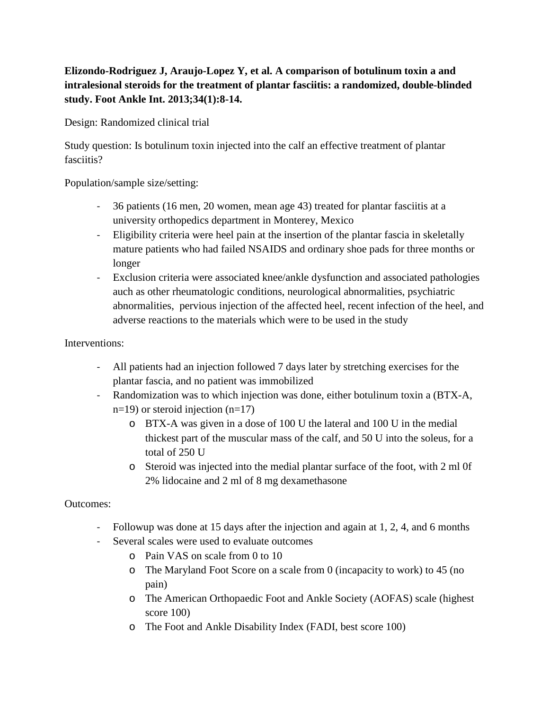## **Elizondo-Rodriguez J, Araujo-Lopez Y, et al. A comparison of botulinum toxin a and intralesional steroids for the treatment of plantar fasciitis: a randomized, double-blinded study. Foot Ankle Int. 2013;34(1):8-14.**

Design: Randomized clinical trial

Study question: Is botulinum toxin injected into the calf an effective treatment of plantar fasciitis?

Population/sample size/setting:

- 36 patients (16 men, 20 women, mean age 43) treated for plantar fasciitis at a university orthopedics department in Monterey, Mexico
- Eligibility criteria were heel pain at the insertion of the plantar fascia in skeletally mature patients who had failed NSAIDS and ordinary shoe pads for three months or longer
- Exclusion criteria were associated knee/ankle dysfunction and associated pathologies auch as other rheumatologic conditions, neurological abnormalities, psychiatric abnormalities, pervious injection of the affected heel, recent infection of the heel, and adverse reactions to the materials which were to be used in the study

## Interventions:

- All patients had an injection followed 7 days later by stretching exercises for the plantar fascia, and no patient was immobilized
- Randomization was to which injection was done, either botulinum toxin a (BTX-A,  $n=19$ ) or steroid injection  $(n=17)$ 
	- o BTX-A was given in a dose of 100 U the lateral and 100 U in the medial thickest part of the muscular mass of the calf, and 50 U into the soleus, for a total of 250 U
	- o Steroid was injected into the medial plantar surface of the foot, with 2 ml 0f 2% lidocaine and 2 ml of 8 mg dexamethasone

## Outcomes:

- Followup was done at 15 days after the injection and again at 1, 2, 4, and 6 months
- Several scales were used to evaluate outcomes
	- o Pain VAS on scale from 0 to 10
	- o The Maryland Foot Score on a scale from 0 (incapacity to work) to 45 (no pain)
	- o The American Orthopaedic Foot and Ankle Society (AOFAS) scale (highest score 100)
	- o The Foot and Ankle Disability Index (FADI, best score 100)